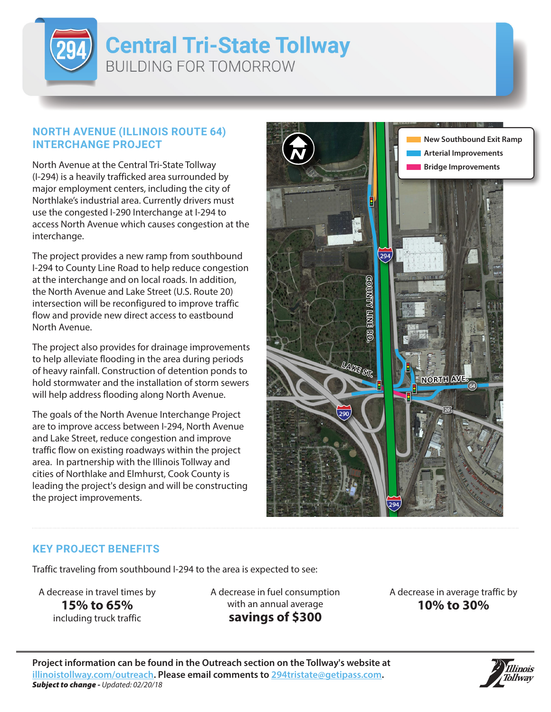

## **Central Tri-State Tollway BUILDING FOR TOMORROW**

## **NORTH AVENUE (ILLINOIS ROUTE 64) INTERCHANGE PROJECT**

North Avenue at the Central Tri-State Tollway (I-294) is a heavily trafficked area surrounded by major employment centers, including the city of Northlake's industrial area. Currently drivers must use the congested I-290 Interchange at I-294 to access North Avenue which causes congestion at the interchange.

The project provides a new ramp from southbound I-294 to County Line Road to help reduce congestion at the interchange and on local roads. In addition, the North Avenue and Lake Street (U.S. Route 20) intersection will be reconfigured to improve traffic flow and provide new direct access to eastbound North Avenue.

The project also provides for drainage improvements to help alleviate flooding in the area during periods of heavy rainfall. Construction of detention ponds to hold stormwater and the installation of storm sewers will help address flooding along North Avenue.

The goals of the North Avenue Interchange Project are to improve access between I-294, North Avenue and Lake Street, reduce congestion and improve traffic flow on existing roadways within the project area. In partnership with the Illinois Tollway and cities of Northlake and Elmhurst, Cook County is leading the project's design and will be constructing the project improvements.



## **KEY PROJECT BENEFITS**

Traffic traveling from southbound I-294 to the area is expected to see:

A decrease in travel times by **15% to 65%** including truck traffic

A decrease in fuel consumption with an annual average **savings of \$300**

A decrease in average traffic by **10% to 30%**

**Project information can be found in the Outreach section on the Tollway's website at illinoistollway.com/outreach. Please email comments to 294tristate@getipass.com.** *Subject to change - Updated: 02/20/18*